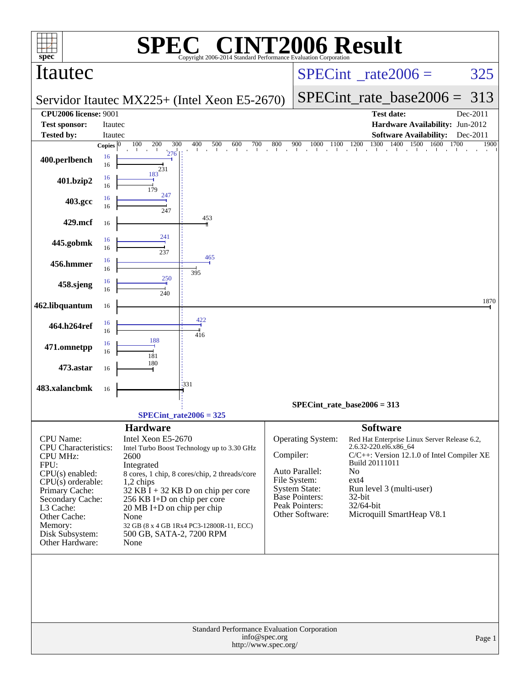| $spec^*$                                                                                                                                                                                                                                   |                         | SPE                                                                                                                                     | $\mathbb{C}^{\scriptscriptstyle \otimes}$ CINT2006 Result<br>Copyright 2006-2014 Standard Performance Evaluation Corporation                                                                                 |                                 |                                                                                                                                           |                                                                                                     |                                                                                                                                                     |      |                  |
|--------------------------------------------------------------------------------------------------------------------------------------------------------------------------------------------------------------------------------------------|-------------------------|-----------------------------------------------------------------------------------------------------------------------------------------|--------------------------------------------------------------------------------------------------------------------------------------------------------------------------------------------------------------|---------------------------------|-------------------------------------------------------------------------------------------------------------------------------------------|-----------------------------------------------------------------------------------------------------|-----------------------------------------------------------------------------------------------------------------------------------------------------|------|------------------|
| Itautec                                                                                                                                                                                                                                    |                         |                                                                                                                                         |                                                                                                                                                                                                              | $SPECint^{\circ}$ rate $2006 =$ |                                                                                                                                           |                                                                                                     |                                                                                                                                                     | 325  |                  |
|                                                                                                                                                                                                                                            |                         |                                                                                                                                         | Servidor Itautec MX225+ (Intel Xeon E5-2670)                                                                                                                                                                 |                                 |                                                                                                                                           | $SPECint_rate base2006 =$                                                                           |                                                                                                                                                     | 313  |                  |
| <b>CPU2006 license: 9001</b>                                                                                                                                                                                                               |                         |                                                                                                                                         |                                                                                                                                                                                                              |                                 |                                                                                                                                           |                                                                                                     | <b>Test date:</b>                                                                                                                                   |      | Dec-2011         |
| <b>Test sponsor:</b>                                                                                                                                                                                                                       | Itautec                 |                                                                                                                                         |                                                                                                                                                                                                              |                                 |                                                                                                                                           |                                                                                                     | Hardware Availability: Jun-2012                                                                                                                     |      |                  |
| <b>Tested by:</b>                                                                                                                                                                                                                          | Itautec<br>Copies $ 0 $ | 100<br>200<br>300                                                                                                                       | 500<br>400<br>700                                                                                                                                                                                            |                                 |                                                                                                                                           | 1300                                                                                                | <b>Software Availability:</b><br>1400<br>1500 1600                                                                                                  | 1700 | Dec-2011<br>1900 |
| 400.perlbench                                                                                                                                                                                                                              | 16<br>16                | 276<br>231                                                                                                                              | 600                                                                                                                                                                                                          | 800                             |                                                                                                                                           |                                                                                                     |                                                                                                                                                     |      |                  |
| 401.bzip2                                                                                                                                                                                                                                  | 16<br>16                | 183<br>179                                                                                                                              |                                                                                                                                                                                                              |                                 |                                                                                                                                           |                                                                                                     |                                                                                                                                                     |      |                  |
| 403.gcc                                                                                                                                                                                                                                    | 16<br>16                | 247<br>247                                                                                                                              |                                                                                                                                                                                                              |                                 |                                                                                                                                           |                                                                                                     |                                                                                                                                                     |      |                  |
| 429.mcf                                                                                                                                                                                                                                    | 16                      |                                                                                                                                         | 453                                                                                                                                                                                                          |                                 |                                                                                                                                           |                                                                                                     |                                                                                                                                                     |      |                  |
| 445.gobmk                                                                                                                                                                                                                                  | 16<br>16                | 241<br>237                                                                                                                              |                                                                                                                                                                                                              |                                 |                                                                                                                                           |                                                                                                     |                                                                                                                                                     |      |                  |
| 456.hmmer                                                                                                                                                                                                                                  | 16<br>16                |                                                                                                                                         | 465                                                                                                                                                                                                          |                                 |                                                                                                                                           |                                                                                                     |                                                                                                                                                     |      |                  |
| 458.sjeng                                                                                                                                                                                                                                  | 16<br>16                | 250<br>240                                                                                                                              | 395                                                                                                                                                                                                          |                                 |                                                                                                                                           |                                                                                                     |                                                                                                                                                     |      |                  |
| 462.libquantum                                                                                                                                                                                                                             | 16                      |                                                                                                                                         |                                                                                                                                                                                                              |                                 |                                                                                                                                           |                                                                                                     |                                                                                                                                                     |      | 1870             |
| 464.h264ref                                                                                                                                                                                                                                | 16<br>16                |                                                                                                                                         | 422<br>416                                                                                                                                                                                                   |                                 |                                                                                                                                           |                                                                                                     |                                                                                                                                                     |      |                  |
| 471.omnetpp                                                                                                                                                                                                                                | 16<br>16                | 188<br>181                                                                                                                              |                                                                                                                                                                                                              |                                 |                                                                                                                                           |                                                                                                     |                                                                                                                                                     |      |                  |
| 473.astar                                                                                                                                                                                                                                  | 16                      | 180                                                                                                                                     |                                                                                                                                                                                                              |                                 |                                                                                                                                           |                                                                                                     |                                                                                                                                                     |      |                  |
| 483.xalancbmk                                                                                                                                                                                                                              | 16                      |                                                                                                                                         | 1331                                                                                                                                                                                                         |                                 |                                                                                                                                           |                                                                                                     |                                                                                                                                                     |      |                  |
|                                                                                                                                                                                                                                            |                         |                                                                                                                                         |                                                                                                                                                                                                              |                                 | $SPECint_rate_base2006 = 313$                                                                                                             |                                                                                                     |                                                                                                                                                     |      |                  |
|                                                                                                                                                                                                                                            |                         |                                                                                                                                         | $SPECint_rate2006 = 325$                                                                                                                                                                                     |                                 |                                                                                                                                           |                                                                                                     |                                                                                                                                                     |      |                  |
| <b>CPU</b> Name:<br><b>CPU</b> Characteristics:<br><b>CPU MHz:</b><br>FPU:<br>$CPU(s)$ enabled:<br>$CPU(s)$ orderable:<br>Primary Cache:<br>Secondary Cache:<br>L3 Cache:<br>Other Cache:<br>Memory:<br>Disk Subsystem:<br>Other Hardware: | 2600<br>None<br>None    | <b>Hardware</b><br>Intel Xeon E5-2670<br>Integrated<br>1,2 chips<br>256 KB I+D on chip per core<br>$20 \text{ MB I+D}$ on chip per chip | Intel Turbo Boost Technology up to 3.30 GHz<br>8 cores, 1 chip, 8 cores/chip, 2 threads/core<br>$32$ KB I + 32 KB D on chip per core<br>32 GB (8 x 4 GB 1Rx4 PC3-12800R-11, ECC)<br>500 GB, SATA-2, 7200 RPM | Compiler:                       | Operating System:<br>Auto Parallel:<br>File System:<br><b>System State:</b><br><b>Base Pointers:</b><br>Peak Pointers:<br>Other Software: | <b>Software</b><br>2.6.32-220.el6.x86_64<br>Build 20111011<br>No<br>$ext{4}$<br>32-bit<br>32/64-bit | Red Hat Enterprise Linux Server Release 6.2,<br>C/C++: Version 12.1.0 of Intel Compiler XE<br>Run level 3 (multi-user)<br>Microquill SmartHeap V8.1 |      |                  |
|                                                                                                                                                                                                                                            |                         |                                                                                                                                         | Standard Performance Evaluation Corporation<br>http://www.spec.org/                                                                                                                                          | info@spec.org                   |                                                                                                                                           |                                                                                                     |                                                                                                                                                     |      | Page 1           |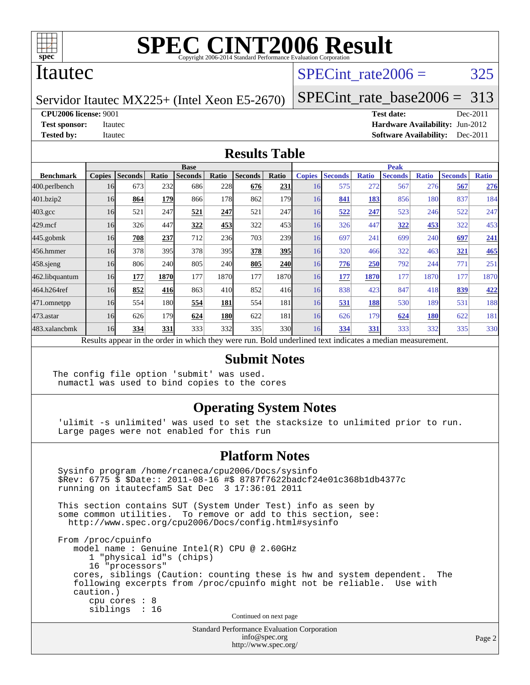

### Itautec

## SPECint rate $2006 = 325$

Servidor Itautec MX225+ (Intel Xeon E5-2670)

[SPECint\\_rate\\_base2006 =](http://www.spec.org/auto/cpu2006/Docs/result-fields.html#SPECintratebase2006) 313

**[CPU2006 license:](http://www.spec.org/auto/cpu2006/Docs/result-fields.html#CPU2006license)** 9001 **[Test date:](http://www.spec.org/auto/cpu2006/Docs/result-fields.html#Testdate)** Dec-2011

**[Test sponsor:](http://www.spec.org/auto/cpu2006/Docs/result-fields.html#Testsponsor)** Itautec **[Hardware Availability:](http://www.spec.org/auto/cpu2006/Docs/result-fields.html#HardwareAvailability)** Jun-2012 **[Tested by:](http://www.spec.org/auto/cpu2006/Docs/result-fields.html#Testedby)** Itautec **Italien Controllering Controllering [Software Availability:](http://www.spec.org/auto/cpu2006/Docs/result-fields.html#SoftwareAvailability)** Dec-2011

#### **[Results Table](http://www.spec.org/auto/cpu2006/Docs/result-fields.html#ResultsTable)**

|                                                                                                          | <b>Base</b>   |                |       |                |                 |                |                  | <b>Peak</b>   |                |              |                |              |                |              |  |
|----------------------------------------------------------------------------------------------------------|---------------|----------------|-------|----------------|-----------------|----------------|------------------|---------------|----------------|--------------|----------------|--------------|----------------|--------------|--|
| <b>Benchmark</b>                                                                                         | <b>Copies</b> | <b>Seconds</b> | Ratio | <b>Seconds</b> | Ratio           | <b>Seconds</b> | Ratio            | <b>Copies</b> | <b>Seconds</b> | <b>Ratio</b> | <b>Seconds</b> | <b>Ratio</b> | <b>Seconds</b> | <b>Ratio</b> |  |
| 400.perlbench                                                                                            | 16            | 673            | 232   | 686            | 228             | 676            | 231              | 16            | 575            | 272          | 567            | 276          | 567            | 276          |  |
| 401.bzip2                                                                                                | 16            | 864            | 179   | 866            | 178             | 862            | 179 <b>1</b>     | 16            | 841            | 183          | 856            | 180          | 837            | 184          |  |
| $403.\mathrm{gcc}$                                                                                       | 16            | 521            | 247   | 521            | 247             | 521            | 247              | 16            | 522            | 247          | 523            | 246          | 522            | 247          |  |
| $429$ .mcf                                                                                               | 16            | 326            | 447   | 322            | 453             | 322            | 453              | 16            | 326            | 447          | 322            | 453          | 322            | 453          |  |
| $445$ .gobmk                                                                                             | 16            | 708            | 237   | 712            | <b>236</b>      | 703            | 239 <sub>l</sub> | 16            | 697            | 241          | 699            | 240          | 697            | <u>241</u>   |  |
| 456.hmmer                                                                                                | 16            | 378            | 395   | 378            | 395             | 378            | <b>395</b>       | 16            | 320            | 466          | 322            | 463          | 321            | 465          |  |
| $458$ .sjeng                                                                                             | 16            | 806            | 240   | 805            | <b>240</b>      | 805            | <b>240</b>       | 16            | 776            | 250          | 792            | 244          | 771            | 251          |  |
| 462.libquantum                                                                                           | 16            | 177            | 1870  | 177            | 1870            | 177            | 18701            | 16            | <u>177</u>     | 1870         | 177            | 1870         | 177            | 1870         |  |
| 464.h264ref                                                                                              | 16            | 852            | 416   | 863            | 41 <sub>0</sub> | 852            | 416              | 16            | 838            | 423          | 847            | 418          | 839            | 422          |  |
| 471.omnetpp                                                                                              | 16            | 554            | 180   | 554            | 181             | 554            | 181              | 16            | 531            | 188          | 530            | 189          | 531            | 188          |  |
| $473$ . astar                                                                                            | 16            | 626            | 179   | 624            | <b>180</b>      | 622            | 181              | 16            | 626            | 179          | 624            | 180          | 622            | 181          |  |
| 483.xalancbmk                                                                                            | 16            | 334            | 331   | 333            | 332             | 335            | 330l             | 16            | 334            | 331          | 333            | 332          | 335            | 330          |  |
| Results appear in the order in which they were run. Bold underlined text indicates a median measurement. |               |                |       |                |                 |                |                  |               |                |              |                |              |                |              |  |

#### **[Submit Notes](http://www.spec.org/auto/cpu2006/Docs/result-fields.html#SubmitNotes)**

The config file option 'submit' was used. numactl was used to bind copies to the cores

#### **[Operating System Notes](http://www.spec.org/auto/cpu2006/Docs/result-fields.html#OperatingSystemNotes)**

 'ulimit -s unlimited' was used to set the stacksize to unlimited prior to run. Large pages were not enabled for this run

#### **[Platform Notes](http://www.spec.org/auto/cpu2006/Docs/result-fields.html#PlatformNotes)**

 Sysinfo program /home/rcaneca/cpu2006/Docs/sysinfo \$Rev: 6775 \$ \$Date:: 2011-08-16 #\$ 8787f7622badcf24e01c368b1db4377c running on itautecfam5 Sat Dec 3 17:36:01 2011 This section contains SUT (System Under Test) info as seen by some common utilities. To remove or add to this section, see: <http://www.spec.org/cpu2006/Docs/config.html#sysinfo> From /proc/cpuinfo model name : Genuine Intel(R) CPU @ 2.60GHz 1 "physical id"s (chips) 16 "processors" cores, siblings (Caution: counting these is hw and system dependent. The following excerpts from /proc/cpuinfo might not be reliable. Use with caution.) cpu cores : 8 siblings : 16 Continued on next page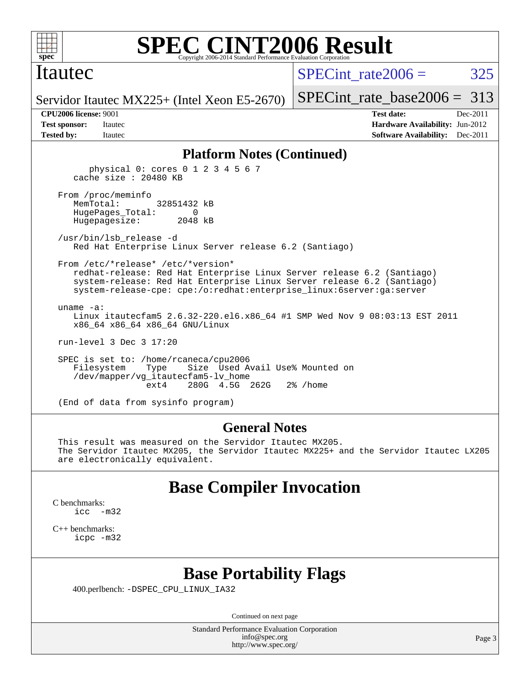

### Itautec

SPECint rate $2006 = 325$ 

[SPECint\\_rate\\_base2006 =](http://www.spec.org/auto/cpu2006/Docs/result-fields.html#SPECintratebase2006) 313

Servidor Itautec MX225+ (Intel Xeon E5-2670)

**[Tested by:](http://www.spec.org/auto/cpu2006/Docs/result-fields.html#Testedby)** Itautec **Italien Contract Contract Contract Contract Contract Contract Contract Contract Contract Contract Contract Contract Contract Contract Contract Contract Contract Contract Contract Contract Contract Con** 

**[CPU2006 license:](http://www.spec.org/auto/cpu2006/Docs/result-fields.html#CPU2006license)** 9001 **[Test date:](http://www.spec.org/auto/cpu2006/Docs/result-fields.html#Testdate)** Dec-2011 **[Test sponsor:](http://www.spec.org/auto/cpu2006/Docs/result-fields.html#Testsponsor)** Itautec **[Hardware Availability:](http://www.spec.org/auto/cpu2006/Docs/result-fields.html#HardwareAvailability)** Jun-2012

#### **[Platform Notes \(Continued\)](http://www.spec.org/auto/cpu2006/Docs/result-fields.html#PlatformNotes)**

 physical 0: cores 0 1 2 3 4 5 6 7 cache size : 20480 KB From /proc/meminfo MemTotal: 32851432 kB HugePages\_Total: 0 Hugepagesize: 2048 kB /usr/bin/lsb\_release -d Red Hat Enterprise Linux Server release 6.2 (Santiago) From /etc/\*release\* /etc/\*version\* redhat-release: Red Hat Enterprise Linux Server release 6.2 (Santiago) system-release: Red Hat Enterprise Linux Server release 6.2 (Santiago) system-release-cpe: cpe:/o:redhat:enterprise\_linux:6server:ga:server uname -a: Linux itautecfam5 2.6.32-220.el6.x86\_64 #1 SMP Wed Nov 9 08:03:13 EST 2011 x86\_64 x86\_64 x86\_64 GNU/Linux run-level 3 Dec 3 17:20 SPEC is set to: /home/rcaneca/cpu2006 Filesystem Type Size Used Avail Use% Mounted on /dev/mapper/vg\_itautecfam5-lv\_home 280G 4.5G 262G 2% / home

(End of data from sysinfo program)

#### **[General Notes](http://www.spec.org/auto/cpu2006/Docs/result-fields.html#GeneralNotes)**

 This result was measured on the Servidor Itautec MX205. The Servidor Itautec MX205, the Servidor Itautec MX225+ and the Servidor Itautec LX205 are electronically equivalent.

### **[Base Compiler Invocation](http://www.spec.org/auto/cpu2006/Docs/result-fields.html#BaseCompilerInvocation)**

[C benchmarks](http://www.spec.org/auto/cpu2006/Docs/result-fields.html#Cbenchmarks): [icc -m32](http://www.spec.org/cpu2006/results/res2012q3/cpu2006-20120824-24334.flags.html#user_CCbase_intel_icc_5ff4a39e364c98233615fdd38438c6f2)

[C++ benchmarks:](http://www.spec.org/auto/cpu2006/Docs/result-fields.html#CXXbenchmarks) [icpc -m32](http://www.spec.org/cpu2006/results/res2012q3/cpu2006-20120824-24334.flags.html#user_CXXbase_intel_icpc_4e5a5ef1a53fd332b3c49e69c3330699)

### **[Base Portability Flags](http://www.spec.org/auto/cpu2006/Docs/result-fields.html#BasePortabilityFlags)**

400.perlbench: [-DSPEC\\_CPU\\_LINUX\\_IA32](http://www.spec.org/cpu2006/results/res2012q3/cpu2006-20120824-24334.flags.html#b400.perlbench_baseCPORTABILITY_DSPEC_CPU_LINUX_IA32)

Continued on next page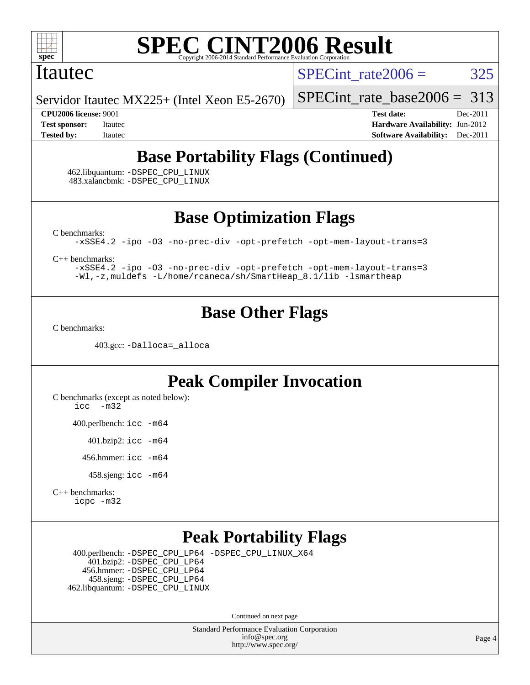

#### Itautec

SPECint rate $2006 = 325$ 

Servidor Itautec MX225+ (Intel Xeon E5-2670)

[SPECint\\_rate\\_base2006 =](http://www.spec.org/auto/cpu2006/Docs/result-fields.html#SPECintratebase2006) 313

**[CPU2006 license:](http://www.spec.org/auto/cpu2006/Docs/result-fields.html#CPU2006license)** 9001 **[Test date:](http://www.spec.org/auto/cpu2006/Docs/result-fields.html#Testdate)** Dec-2011 **[Test sponsor:](http://www.spec.org/auto/cpu2006/Docs/result-fields.html#Testsponsor)** Itautec **[Hardware Availability:](http://www.spec.org/auto/cpu2006/Docs/result-fields.html#HardwareAvailability)** Jun-2012 **[Tested by:](http://www.spec.org/auto/cpu2006/Docs/result-fields.html#Testedby)** Itautec **Italien Contract Contract Contract Contract Contract Contract Contract Contract Contract Contract Contract Contract Contract Contract Contract Contract Contract Contract Contract Contract Contract Con** 

# **[Base Portability Flags \(Continued\)](http://www.spec.org/auto/cpu2006/Docs/result-fields.html#BasePortabilityFlags)**

 462.libquantum: [-DSPEC\\_CPU\\_LINUX](http://www.spec.org/cpu2006/results/res2012q3/cpu2006-20120824-24334.flags.html#b462.libquantum_baseCPORTABILITY_DSPEC_CPU_LINUX) 483.xalancbmk: [-DSPEC\\_CPU\\_LINUX](http://www.spec.org/cpu2006/results/res2012q3/cpu2006-20120824-24334.flags.html#b483.xalancbmk_baseCXXPORTABILITY_DSPEC_CPU_LINUX)

**[Base Optimization Flags](http://www.spec.org/auto/cpu2006/Docs/result-fields.html#BaseOptimizationFlags)**

[C benchmarks](http://www.spec.org/auto/cpu2006/Docs/result-fields.html#Cbenchmarks):

[-xSSE4.2](http://www.spec.org/cpu2006/results/res2012q3/cpu2006-20120824-24334.flags.html#user_CCbase_f-xSSE42_f91528193cf0b216347adb8b939d4107) [-ipo](http://www.spec.org/cpu2006/results/res2012q3/cpu2006-20120824-24334.flags.html#user_CCbase_f-ipo) [-O3](http://www.spec.org/cpu2006/results/res2012q3/cpu2006-20120824-24334.flags.html#user_CCbase_f-O3) [-no-prec-div](http://www.spec.org/cpu2006/results/res2012q3/cpu2006-20120824-24334.flags.html#user_CCbase_f-no-prec-div) [-opt-prefetch](http://www.spec.org/cpu2006/results/res2012q3/cpu2006-20120824-24334.flags.html#user_CCbase_f-opt-prefetch) [-opt-mem-layout-trans=3](http://www.spec.org/cpu2006/results/res2012q3/cpu2006-20120824-24334.flags.html#user_CCbase_f-opt-mem-layout-trans_a7b82ad4bd7abf52556d4961a2ae94d5)

[C++ benchmarks:](http://www.spec.org/auto/cpu2006/Docs/result-fields.html#CXXbenchmarks)

[-xSSE4.2](http://www.spec.org/cpu2006/results/res2012q3/cpu2006-20120824-24334.flags.html#user_CXXbase_f-xSSE42_f91528193cf0b216347adb8b939d4107) [-ipo](http://www.spec.org/cpu2006/results/res2012q3/cpu2006-20120824-24334.flags.html#user_CXXbase_f-ipo) [-O3](http://www.spec.org/cpu2006/results/res2012q3/cpu2006-20120824-24334.flags.html#user_CXXbase_f-O3) [-no-prec-div](http://www.spec.org/cpu2006/results/res2012q3/cpu2006-20120824-24334.flags.html#user_CXXbase_f-no-prec-div) [-opt-prefetch](http://www.spec.org/cpu2006/results/res2012q3/cpu2006-20120824-24334.flags.html#user_CXXbase_f-opt-prefetch) [-opt-mem-layout-trans=3](http://www.spec.org/cpu2006/results/res2012q3/cpu2006-20120824-24334.flags.html#user_CXXbase_f-opt-mem-layout-trans_a7b82ad4bd7abf52556d4961a2ae94d5) [-Wl,-z,muldefs](http://www.spec.org/cpu2006/results/res2012q3/cpu2006-20120824-24334.flags.html#user_CXXbase_link_force_multiple1_74079c344b956b9658436fd1b6dd3a8a) [-L/home/rcaneca/sh/SmartHeap\\_8.1/lib -lsmartheap](http://www.spec.org/cpu2006/results/res2012q3/cpu2006-20120824-24334.flags.html#user_CXXbase_SmartHeap_0f3a9c58980a95eacf4c6b7a458c149d)

# **[Base Other Flags](http://www.spec.org/auto/cpu2006/Docs/result-fields.html#BaseOtherFlags)**

[C benchmarks](http://www.spec.org/auto/cpu2006/Docs/result-fields.html#Cbenchmarks):

403.gcc: [-Dalloca=\\_alloca](http://www.spec.org/cpu2006/results/res2012q3/cpu2006-20120824-24334.flags.html#b403.gcc_baseEXTRA_CFLAGS_Dalloca_be3056838c12de2578596ca5467af7f3)

# **[Peak Compiler Invocation](http://www.spec.org/auto/cpu2006/Docs/result-fields.html#PeakCompilerInvocation)**

[C benchmarks \(except as noted below\)](http://www.spec.org/auto/cpu2006/Docs/result-fields.html#Cbenchmarksexceptasnotedbelow): [icc -m32](http://www.spec.org/cpu2006/results/res2012q3/cpu2006-20120824-24334.flags.html#user_CCpeak_intel_icc_5ff4a39e364c98233615fdd38438c6f2)

400.perlbench: [icc -m64](http://www.spec.org/cpu2006/results/res2012q3/cpu2006-20120824-24334.flags.html#user_peakCCLD400_perlbench_intel_icc_64bit_bda6cc9af1fdbb0edc3795bac97ada53)

401.bzip2: [icc -m64](http://www.spec.org/cpu2006/results/res2012q3/cpu2006-20120824-24334.flags.html#user_peakCCLD401_bzip2_intel_icc_64bit_bda6cc9af1fdbb0edc3795bac97ada53)

456.hmmer: [icc -m64](http://www.spec.org/cpu2006/results/res2012q3/cpu2006-20120824-24334.flags.html#user_peakCCLD456_hmmer_intel_icc_64bit_bda6cc9af1fdbb0edc3795bac97ada53)

458.sjeng: [icc -m64](http://www.spec.org/cpu2006/results/res2012q3/cpu2006-20120824-24334.flags.html#user_peakCCLD458_sjeng_intel_icc_64bit_bda6cc9af1fdbb0edc3795bac97ada53)

[C++ benchmarks:](http://www.spec.org/auto/cpu2006/Docs/result-fields.html#CXXbenchmarks) [icpc -m32](http://www.spec.org/cpu2006/results/res2012q3/cpu2006-20120824-24334.flags.html#user_CXXpeak_intel_icpc_4e5a5ef1a53fd332b3c49e69c3330699)

# **[Peak Portability Flags](http://www.spec.org/auto/cpu2006/Docs/result-fields.html#PeakPortabilityFlags)**

 400.perlbench: [-DSPEC\\_CPU\\_LP64](http://www.spec.org/cpu2006/results/res2012q3/cpu2006-20120824-24334.flags.html#b400.perlbench_peakCPORTABILITY_DSPEC_CPU_LP64) [-DSPEC\\_CPU\\_LINUX\\_X64](http://www.spec.org/cpu2006/results/res2012q3/cpu2006-20120824-24334.flags.html#b400.perlbench_peakCPORTABILITY_DSPEC_CPU_LINUX_X64) 401.bzip2: [-DSPEC\\_CPU\\_LP64](http://www.spec.org/cpu2006/results/res2012q3/cpu2006-20120824-24334.flags.html#suite_peakCPORTABILITY401_bzip2_DSPEC_CPU_LP64) 456.hmmer: [-DSPEC\\_CPU\\_LP64](http://www.spec.org/cpu2006/results/res2012q3/cpu2006-20120824-24334.flags.html#suite_peakCPORTABILITY456_hmmer_DSPEC_CPU_LP64) 458.sjeng: [-DSPEC\\_CPU\\_LP64](http://www.spec.org/cpu2006/results/res2012q3/cpu2006-20120824-24334.flags.html#suite_peakCPORTABILITY458_sjeng_DSPEC_CPU_LP64) 462.libquantum: [-DSPEC\\_CPU\\_LINUX](http://www.spec.org/cpu2006/results/res2012q3/cpu2006-20120824-24334.flags.html#b462.libquantum_peakCPORTABILITY_DSPEC_CPU_LINUX)

Continued on next page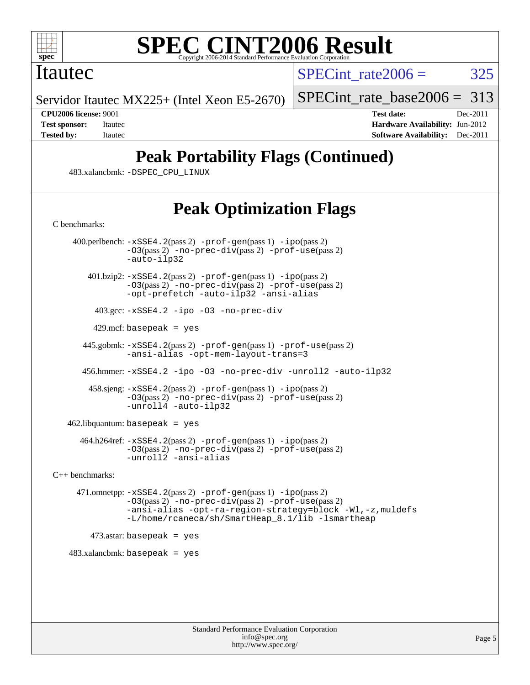

### Itautec

SPECint rate $2006 = 325$ 

Servidor Itautec MX225+ (Intel Xeon E5-2670)

[SPECint\\_rate\\_base2006 =](http://www.spec.org/auto/cpu2006/Docs/result-fields.html#SPECintratebase2006) 313

**[CPU2006 license:](http://www.spec.org/auto/cpu2006/Docs/result-fields.html#CPU2006license)** 9001 **[Test date:](http://www.spec.org/auto/cpu2006/Docs/result-fields.html#Testdate)** Dec-2011 **[Test sponsor:](http://www.spec.org/auto/cpu2006/Docs/result-fields.html#Testsponsor)** Itautec **[Hardware Availability:](http://www.spec.org/auto/cpu2006/Docs/result-fields.html#HardwareAvailability)** Jun-2012 **[Tested by:](http://www.spec.org/auto/cpu2006/Docs/result-fields.html#Testedby)** Itautec **Italien Contract Contract Contract Contract Contract Contract Contract Contract Contract Contract Contract Contract Contract Contract Contract Contract Contract Contract Contract Contract Contract Con** 

# **[Peak Portability Flags \(Continued\)](http://www.spec.org/auto/cpu2006/Docs/result-fields.html#PeakPortabilityFlags)**

483.xalancbmk: [-DSPEC\\_CPU\\_LINUX](http://www.spec.org/cpu2006/results/res2012q3/cpu2006-20120824-24334.flags.html#b483.xalancbmk_peakCXXPORTABILITY_DSPEC_CPU_LINUX)

# **[Peak Optimization Flags](http://www.spec.org/auto/cpu2006/Docs/result-fields.html#PeakOptimizationFlags)**

[C benchmarks](http://www.spec.org/auto/cpu2006/Docs/result-fields.html#Cbenchmarks):

 400.perlbench: [-xSSE4.2](http://www.spec.org/cpu2006/results/res2012q3/cpu2006-20120824-24334.flags.html#user_peakPASS2_CFLAGSPASS2_LDCFLAGS400_perlbench_f-xSSE42_f91528193cf0b216347adb8b939d4107)(pass 2) [-prof-gen](http://www.spec.org/cpu2006/results/res2012q3/cpu2006-20120824-24334.flags.html#user_peakPASS1_CFLAGSPASS1_LDCFLAGS400_perlbench_prof_gen_e43856698f6ca7b7e442dfd80e94a8fc)(pass 1) [-ipo](http://www.spec.org/cpu2006/results/res2012q3/cpu2006-20120824-24334.flags.html#user_peakPASS2_CFLAGSPASS2_LDCFLAGS400_perlbench_f-ipo)(pass 2) [-O3](http://www.spec.org/cpu2006/results/res2012q3/cpu2006-20120824-24334.flags.html#user_peakPASS2_CFLAGSPASS2_LDCFLAGS400_perlbench_f-O3)(pass 2) [-no-prec-div](http://www.spec.org/cpu2006/results/res2012q3/cpu2006-20120824-24334.flags.html#user_peakPASS2_CFLAGSPASS2_LDCFLAGS400_perlbench_f-no-prec-div)(pass 2) [-prof-use](http://www.spec.org/cpu2006/results/res2012q3/cpu2006-20120824-24334.flags.html#user_peakPASS2_CFLAGSPASS2_LDCFLAGS400_perlbench_prof_use_bccf7792157ff70d64e32fe3e1250b55)(pass 2) [-auto-ilp32](http://www.spec.org/cpu2006/results/res2012q3/cpu2006-20120824-24334.flags.html#user_peakCOPTIMIZE400_perlbench_f-auto-ilp32) 401.bzip2: [-xSSE4.2](http://www.spec.org/cpu2006/results/res2012q3/cpu2006-20120824-24334.flags.html#user_peakPASS2_CFLAGSPASS2_LDCFLAGS401_bzip2_f-xSSE42_f91528193cf0b216347adb8b939d4107)(pass 2) [-prof-gen](http://www.spec.org/cpu2006/results/res2012q3/cpu2006-20120824-24334.flags.html#user_peakPASS1_CFLAGSPASS1_LDCFLAGS401_bzip2_prof_gen_e43856698f6ca7b7e442dfd80e94a8fc)(pass 1) [-ipo](http://www.spec.org/cpu2006/results/res2012q3/cpu2006-20120824-24334.flags.html#user_peakPASS2_CFLAGSPASS2_LDCFLAGS401_bzip2_f-ipo)(pass 2) [-O3](http://www.spec.org/cpu2006/results/res2012q3/cpu2006-20120824-24334.flags.html#user_peakPASS2_CFLAGSPASS2_LDCFLAGS401_bzip2_f-O3)(pass 2) [-no-prec-div](http://www.spec.org/cpu2006/results/res2012q3/cpu2006-20120824-24334.flags.html#user_peakPASS2_CFLAGSPASS2_LDCFLAGS401_bzip2_f-no-prec-div)(pass 2) [-prof-use](http://www.spec.org/cpu2006/results/res2012q3/cpu2006-20120824-24334.flags.html#user_peakPASS2_CFLAGSPASS2_LDCFLAGS401_bzip2_prof_use_bccf7792157ff70d64e32fe3e1250b55)(pass 2) [-opt-prefetch](http://www.spec.org/cpu2006/results/res2012q3/cpu2006-20120824-24334.flags.html#user_peakCOPTIMIZE401_bzip2_f-opt-prefetch) [-auto-ilp32](http://www.spec.org/cpu2006/results/res2012q3/cpu2006-20120824-24334.flags.html#user_peakCOPTIMIZE401_bzip2_f-auto-ilp32) [-ansi-alias](http://www.spec.org/cpu2006/results/res2012q3/cpu2006-20120824-24334.flags.html#user_peakCOPTIMIZE401_bzip2_f-ansi-alias) 403.gcc: [-xSSE4.2](http://www.spec.org/cpu2006/results/res2012q3/cpu2006-20120824-24334.flags.html#user_peakCOPTIMIZE403_gcc_f-xSSE42_f91528193cf0b216347adb8b939d4107) [-ipo](http://www.spec.org/cpu2006/results/res2012q3/cpu2006-20120824-24334.flags.html#user_peakCOPTIMIZE403_gcc_f-ipo) [-O3](http://www.spec.org/cpu2006/results/res2012q3/cpu2006-20120824-24334.flags.html#user_peakCOPTIMIZE403_gcc_f-O3) [-no-prec-div](http://www.spec.org/cpu2006/results/res2012q3/cpu2006-20120824-24334.flags.html#user_peakCOPTIMIZE403_gcc_f-no-prec-div)  $429$ .mcf: basepeak = yes 445.gobmk: [-xSSE4.2](http://www.spec.org/cpu2006/results/res2012q3/cpu2006-20120824-24334.flags.html#user_peakPASS2_CFLAGSPASS2_LDCFLAGS445_gobmk_f-xSSE42_f91528193cf0b216347adb8b939d4107)(pass 2) [-prof-gen](http://www.spec.org/cpu2006/results/res2012q3/cpu2006-20120824-24334.flags.html#user_peakPASS1_CFLAGSPASS1_LDCFLAGS445_gobmk_prof_gen_e43856698f6ca7b7e442dfd80e94a8fc)(pass 1) [-prof-use](http://www.spec.org/cpu2006/results/res2012q3/cpu2006-20120824-24334.flags.html#user_peakPASS2_CFLAGSPASS2_LDCFLAGS445_gobmk_prof_use_bccf7792157ff70d64e32fe3e1250b55)(pass 2) [-ansi-alias](http://www.spec.org/cpu2006/results/res2012q3/cpu2006-20120824-24334.flags.html#user_peakCOPTIMIZE445_gobmk_f-ansi-alias) [-opt-mem-layout-trans=3](http://www.spec.org/cpu2006/results/res2012q3/cpu2006-20120824-24334.flags.html#user_peakCOPTIMIZE445_gobmk_f-opt-mem-layout-trans_a7b82ad4bd7abf52556d4961a2ae94d5) 456.hmmer: [-xSSE4.2](http://www.spec.org/cpu2006/results/res2012q3/cpu2006-20120824-24334.flags.html#user_peakCOPTIMIZE456_hmmer_f-xSSE42_f91528193cf0b216347adb8b939d4107) [-ipo](http://www.spec.org/cpu2006/results/res2012q3/cpu2006-20120824-24334.flags.html#user_peakCOPTIMIZE456_hmmer_f-ipo) [-O3](http://www.spec.org/cpu2006/results/res2012q3/cpu2006-20120824-24334.flags.html#user_peakCOPTIMIZE456_hmmer_f-O3) [-no-prec-div](http://www.spec.org/cpu2006/results/res2012q3/cpu2006-20120824-24334.flags.html#user_peakCOPTIMIZE456_hmmer_f-no-prec-div) [-unroll2](http://www.spec.org/cpu2006/results/res2012q3/cpu2006-20120824-24334.flags.html#user_peakCOPTIMIZE456_hmmer_f-unroll_784dae83bebfb236979b41d2422d7ec2) [-auto-ilp32](http://www.spec.org/cpu2006/results/res2012q3/cpu2006-20120824-24334.flags.html#user_peakCOPTIMIZE456_hmmer_f-auto-ilp32) 458.sjeng: [-xSSE4.2](http://www.spec.org/cpu2006/results/res2012q3/cpu2006-20120824-24334.flags.html#user_peakPASS2_CFLAGSPASS2_LDCFLAGS458_sjeng_f-xSSE42_f91528193cf0b216347adb8b939d4107)(pass 2) [-prof-gen](http://www.spec.org/cpu2006/results/res2012q3/cpu2006-20120824-24334.flags.html#user_peakPASS1_CFLAGSPASS1_LDCFLAGS458_sjeng_prof_gen_e43856698f6ca7b7e442dfd80e94a8fc)(pass 1) [-ipo](http://www.spec.org/cpu2006/results/res2012q3/cpu2006-20120824-24334.flags.html#user_peakPASS2_CFLAGSPASS2_LDCFLAGS458_sjeng_f-ipo)(pass 2) [-O3](http://www.spec.org/cpu2006/results/res2012q3/cpu2006-20120824-24334.flags.html#user_peakPASS2_CFLAGSPASS2_LDCFLAGS458_sjeng_f-O3)(pass 2) [-no-prec-div](http://www.spec.org/cpu2006/results/res2012q3/cpu2006-20120824-24334.flags.html#user_peakPASS2_CFLAGSPASS2_LDCFLAGS458_sjeng_f-no-prec-div)(pass 2) [-prof-use](http://www.spec.org/cpu2006/results/res2012q3/cpu2006-20120824-24334.flags.html#user_peakPASS2_CFLAGSPASS2_LDCFLAGS458_sjeng_prof_use_bccf7792157ff70d64e32fe3e1250b55)(pass 2) [-unroll4](http://www.spec.org/cpu2006/results/res2012q3/cpu2006-20120824-24334.flags.html#user_peakCOPTIMIZE458_sjeng_f-unroll_4e5e4ed65b7fd20bdcd365bec371b81f) [-auto-ilp32](http://www.spec.org/cpu2006/results/res2012q3/cpu2006-20120824-24334.flags.html#user_peakCOPTIMIZE458_sjeng_f-auto-ilp32) 462.libquantum: basepeak = yes 464.h264ref: [-xSSE4.2](http://www.spec.org/cpu2006/results/res2012q3/cpu2006-20120824-24334.flags.html#user_peakPASS2_CFLAGSPASS2_LDCFLAGS464_h264ref_f-xSSE42_f91528193cf0b216347adb8b939d4107)(pass 2) [-prof-gen](http://www.spec.org/cpu2006/results/res2012q3/cpu2006-20120824-24334.flags.html#user_peakPASS1_CFLAGSPASS1_LDCFLAGS464_h264ref_prof_gen_e43856698f6ca7b7e442dfd80e94a8fc)(pass 1) [-ipo](http://www.spec.org/cpu2006/results/res2012q3/cpu2006-20120824-24334.flags.html#user_peakPASS2_CFLAGSPASS2_LDCFLAGS464_h264ref_f-ipo)(pass 2) [-O3](http://www.spec.org/cpu2006/results/res2012q3/cpu2006-20120824-24334.flags.html#user_peakPASS2_CFLAGSPASS2_LDCFLAGS464_h264ref_f-O3)(pass 2) [-no-prec-div](http://www.spec.org/cpu2006/results/res2012q3/cpu2006-20120824-24334.flags.html#user_peakPASS2_CFLAGSPASS2_LDCFLAGS464_h264ref_f-no-prec-div)(pass 2) [-prof-use](http://www.spec.org/cpu2006/results/res2012q3/cpu2006-20120824-24334.flags.html#user_peakPASS2_CFLAGSPASS2_LDCFLAGS464_h264ref_prof_use_bccf7792157ff70d64e32fe3e1250b55)(pass 2) [-unroll2](http://www.spec.org/cpu2006/results/res2012q3/cpu2006-20120824-24334.flags.html#user_peakCOPTIMIZE464_h264ref_f-unroll_784dae83bebfb236979b41d2422d7ec2) [-ansi-alias](http://www.spec.org/cpu2006/results/res2012q3/cpu2006-20120824-24334.flags.html#user_peakCOPTIMIZE464_h264ref_f-ansi-alias) [C++ benchmarks:](http://www.spec.org/auto/cpu2006/Docs/result-fields.html#CXXbenchmarks) 471.omnetpp: [-xSSE4.2](http://www.spec.org/cpu2006/results/res2012q3/cpu2006-20120824-24334.flags.html#user_peakPASS2_CXXFLAGSPASS2_LDCXXFLAGS471_omnetpp_f-xSSE42_f91528193cf0b216347adb8b939d4107)(pass 2) [-prof-gen](http://www.spec.org/cpu2006/results/res2012q3/cpu2006-20120824-24334.flags.html#user_peakPASS1_CXXFLAGSPASS1_LDCXXFLAGS471_omnetpp_prof_gen_e43856698f6ca7b7e442dfd80e94a8fc)(pass 1) [-ipo](http://www.spec.org/cpu2006/results/res2012q3/cpu2006-20120824-24334.flags.html#user_peakPASS2_CXXFLAGSPASS2_LDCXXFLAGS471_omnetpp_f-ipo)(pass 2) [-O3](http://www.spec.org/cpu2006/results/res2012q3/cpu2006-20120824-24334.flags.html#user_peakPASS2_CXXFLAGSPASS2_LDCXXFLAGS471_omnetpp_f-O3)(pass 2) [-no-prec-div](http://www.spec.org/cpu2006/results/res2012q3/cpu2006-20120824-24334.flags.html#user_peakPASS2_CXXFLAGSPASS2_LDCXXFLAGS471_omnetpp_f-no-prec-div)(pass 2) [-prof-use](http://www.spec.org/cpu2006/results/res2012q3/cpu2006-20120824-24334.flags.html#user_peakPASS2_CXXFLAGSPASS2_LDCXXFLAGS471_omnetpp_prof_use_bccf7792157ff70d64e32fe3e1250b55)(pass 2) [-ansi-alias](http://www.spec.org/cpu2006/results/res2012q3/cpu2006-20120824-24334.flags.html#user_peakCXXOPTIMIZE471_omnetpp_f-ansi-alias) [-opt-ra-region-strategy=block](http://www.spec.org/cpu2006/results/res2012q3/cpu2006-20120824-24334.flags.html#user_peakCXXOPTIMIZE471_omnetpp_f-opt-ra-region-strategy_a0a37c372d03933b2a18d4af463c1f69) [-Wl,-z,muldefs](http://www.spec.org/cpu2006/results/res2012q3/cpu2006-20120824-24334.flags.html#user_peakEXTRA_LDFLAGS471_omnetpp_link_force_multiple1_74079c344b956b9658436fd1b6dd3a8a) [-L/home/rcaneca/sh/SmartHeap\\_8.1/lib -lsmartheap](http://www.spec.org/cpu2006/results/res2012q3/cpu2006-20120824-24334.flags.html#user_peakEXTRA_LIBS471_omnetpp_SmartHeap_0f3a9c58980a95eacf4c6b7a458c149d)

 $473$ .astar: basepeak = yes

 $483.xalanchmk: basepeak = yes$